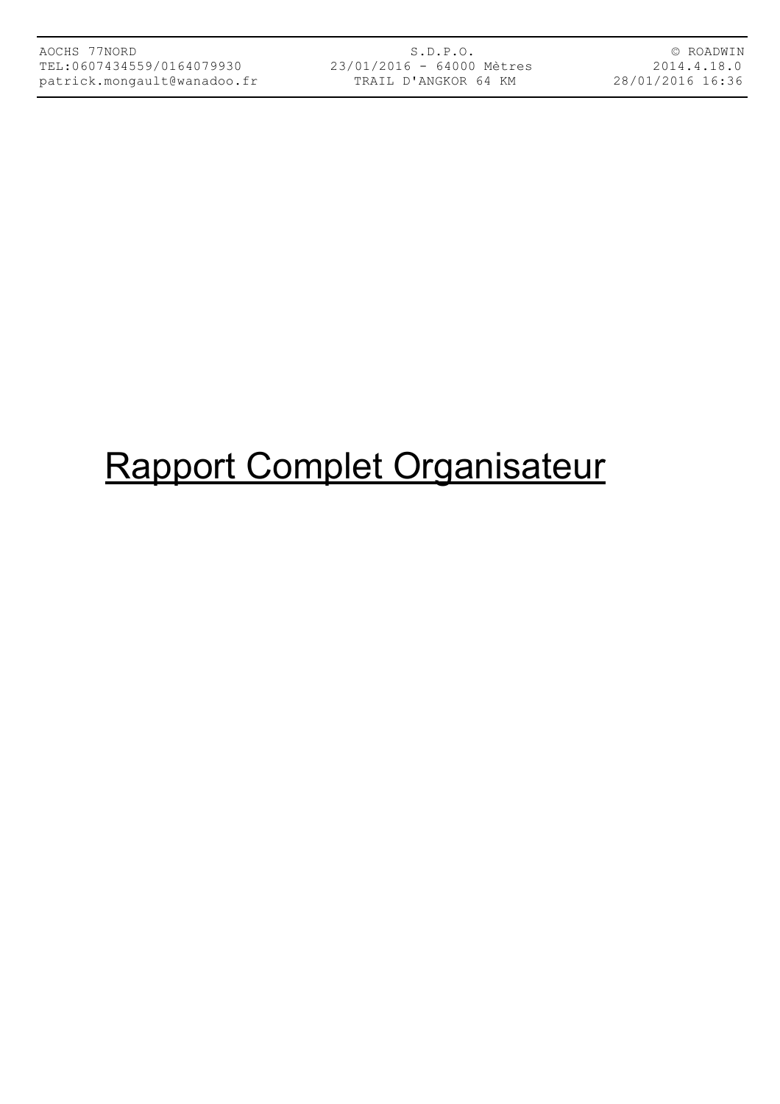## Rapport Complet Organisateur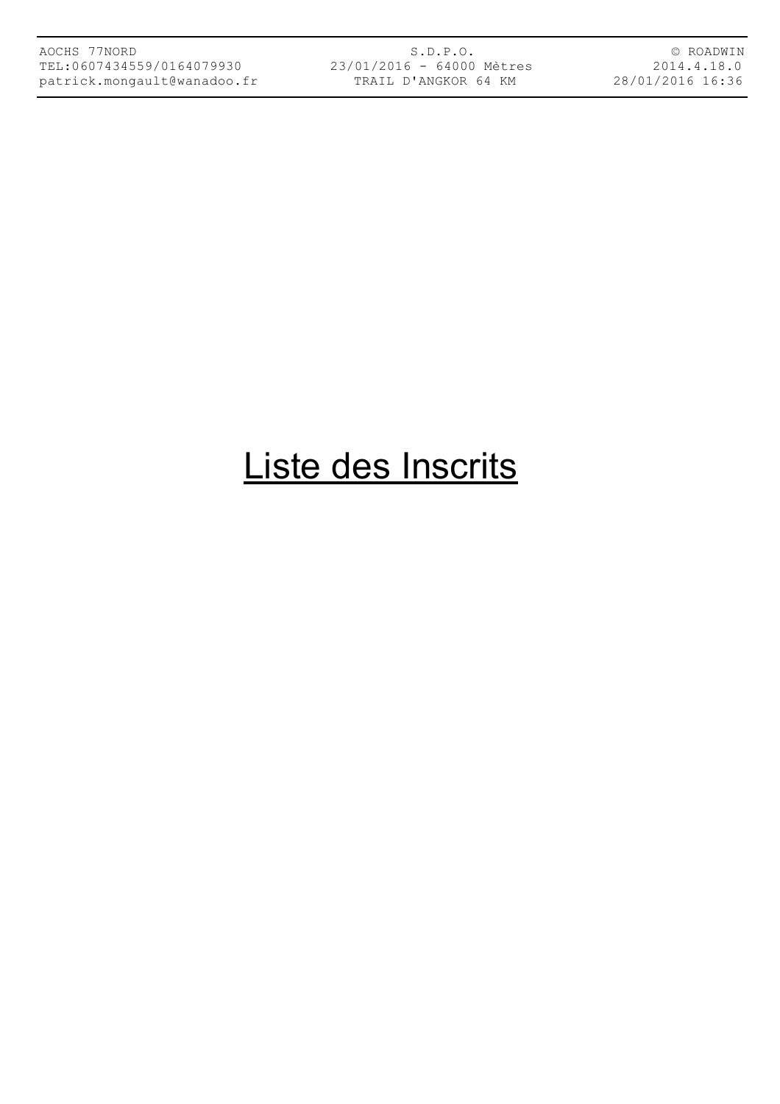S.D.P.O. 23/01/2016 - 64000 Mètres TRAIL D'ANGKOR 64 KM

© ROADWIN 2014.4.18.0 28/01/2016 16:36

### Liste des Inscrits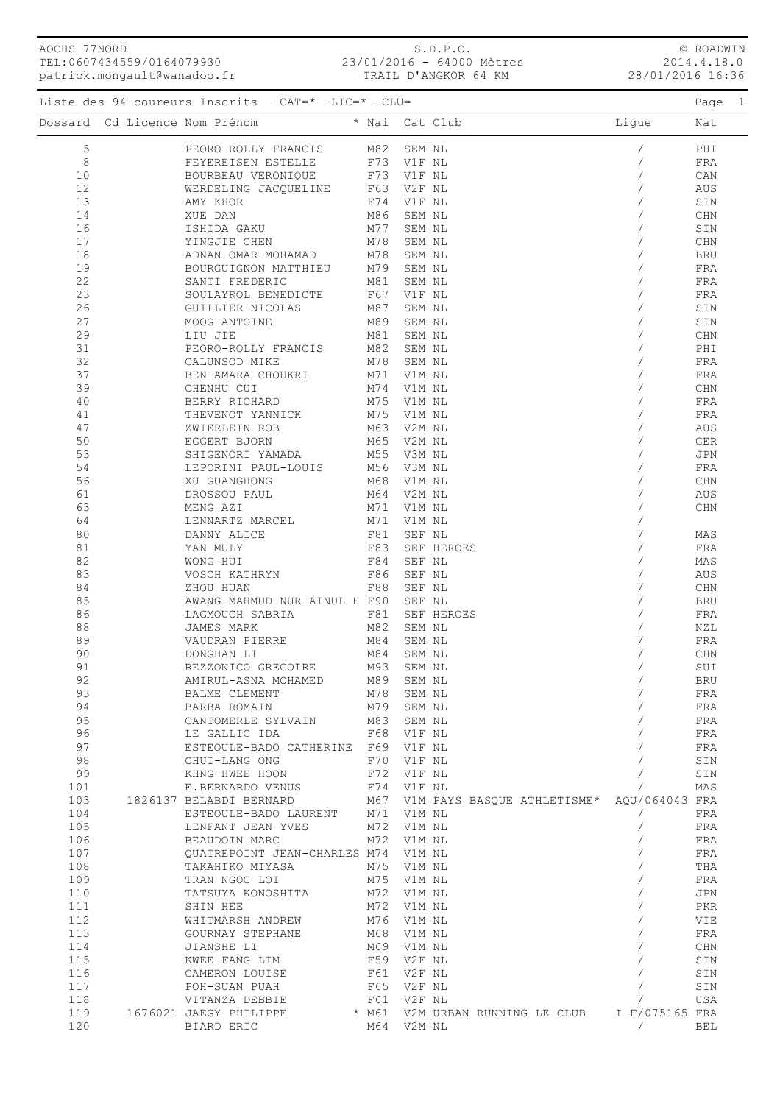| patrick.mongault@wanadoo.fr |                                                                                                                                                                                                                                        |                                        |            | TRAIL D'ANGKOR 64 KM |                                                                                                                                                                                                                                                                                                                                                                                                                                                                                                                                                                                       |       |                         | 28/01/2016 16:36 |
|-----------------------------|----------------------------------------------------------------------------------------------------------------------------------------------------------------------------------------------------------------------------------------|----------------------------------------|------------|----------------------|---------------------------------------------------------------------------------------------------------------------------------------------------------------------------------------------------------------------------------------------------------------------------------------------------------------------------------------------------------------------------------------------------------------------------------------------------------------------------------------------------------------------------------------------------------------------------------------|-------|-------------------------|------------------|
|                             | Liste des 94 coureurs Inscrits -CAT=* -LIC=* -CLU=                                                                                                                                                                                     |                                        |            |                      |                                                                                                                                                                                                                                                                                                                                                                                                                                                                                                                                                                                       |       |                         | Page 1           |
|                             | Dossard Cd Licence Nom Prénom                                                                                                                                                                                                          |                                        |            | * Nai Cat Club       |                                                                                                                                                                                                                                                                                                                                                                                                                                                                                                                                                                                       | Ligue |                         | Nat              |
| 5                           | PEORO-ROLLY FRANCIS M82 SEM NL                                                                                                                                                                                                         |                                        |            |                      |                                                                                                                                                                                                                                                                                                                                                                                                                                                                                                                                                                                       |       |                         | PHI              |
| 8                           |                                                                                                                                                                                                                                        |                                        |            |                      |                                                                                                                                                                                                                                                                                                                                                                                                                                                                                                                                                                                       |       |                         | FRA              |
| 10                          | FEYEREISEN ESTELLE F73 V1F NL BOURBEAU VERONIQUE F73 V1F NL                                                                                                                                                                            |                                        |            |                      |                                                                                                                                                                                                                                                                                                                                                                                                                                                                                                                                                                                       |       |                         | CAN              |
| 12                          | WERDELING JACQUELINE F63 V2F NL                                                                                                                                                                                                        |                                        |            |                      |                                                                                                                                                                                                                                                                                                                                                                                                                                                                                                                                                                                       |       |                         | AUS              |
| 13                          | AMY KHOR                                                                                                                                                                                                                               |                                        | F74 V1F NL |                      |                                                                                                                                                                                                                                                                                                                                                                                                                                                                                                                                                                                       |       |                         | SIN              |
| 14                          | XUE DAN                                                                                                                                                                                                                                | M86                                    | SEM NL     |                      |                                                                                                                                                                                                                                                                                                                                                                                                                                                                                                                                                                                       |       |                         | CHN              |
| 16                          | ISHIDA GAKU                                                                                                                                                                                                                            |                                        | M77 SEM NL |                      |                                                                                                                                                                                                                                                                                                                                                                                                                                                                                                                                                                                       |       |                         | $\texttt{SIN}$   |
| 17                          | YINGJIE CHEN                                                                                                                                                                                                                           |                                        | M78 SEM NL |                      |                                                                                                                                                                                                                                                                                                                                                                                                                                                                                                                                                                                       |       |                         | $\mathtt{CHN}$   |
| 18                          | ADNAN OMAR-MOHAMAD                                                                                                                                                                                                                     | M78 SEM NL                             |            |                      |                                                                                                                                                                                                                                                                                                                                                                                                                                                                                                                                                                                       |       |                         | BRU              |
| 19                          | ADNAN OMAR-MOHAMAD M1/5 SEM NL BOURGUIGNON MATTHIEU M79 SEM NL                                                                                                                                                                         |                                        |            |                      |                                                                                                                                                                                                                                                                                                                                                                                                                                                                                                                                                                                       |       |                         | FRA              |
| 22                          | SANTI FREDERIC                                                                                                                                                                                                                         | M81 SEM NL                             |            |                      |                                                                                                                                                                                                                                                                                                                                                                                                                                                                                                                                                                                       |       |                         | FRA              |
| 23                          | SOULAYROL BENEDICTE                                                                                                                                                                                                                    |                                        |            |                      |                                                                                                                                                                                                                                                                                                                                                                                                                                                                                                                                                                                       |       |                         | ${\rm FRA}$      |
| 26                          |                                                                                                                                                                                                                                        | F67 V1F NL<br>M27 SEM YT<br>M87 SEM NL |            |                      |                                                                                                                                                                                                                                                                                                                                                                                                                                                                                                                                                                                       |       |                         |                  |
|                             | GUILLIER NICOLAS                                                                                                                                                                                                                       |                                        |            |                      |                                                                                                                                                                                                                                                                                                                                                                                                                                                                                                                                                                                       |       |                         | SIN              |
| 27                          | MOOG ANTOINE                                                                                                                                                                                                                           | M89 SEM NL                             |            |                      |                                                                                                                                                                                                                                                                                                                                                                                                                                                                                                                                                                                       |       |                         | SIN              |
| 29                          | LIU JIE                                                                                                                                                                                                                                | M81 SEM NL                             |            |                      |                                                                                                                                                                                                                                                                                                                                                                                                                                                                                                                                                                                       |       |                         | CHN              |
| 31                          | THE SERVICE TRANSPORTED THE SERVAL PROPERTY OF THE CALINES OF THE SERVAL OF THE SERVAL OF THE SERVAL OF THE SERVAL OF THE SERVAL OF THE SERVAL OF THE SERVAL OF THE SERVAL OF THE SERVAL OF THE SERVAL OF THE SERVAL OF THE SE         |                                        |            |                      |                                                                                                                                                                                                                                                                                                                                                                                                                                                                                                                                                                                       |       |                         | PHI              |
| 32                          | CALUNSOD MIKE                                                                                                                                                                                                                          | M78 SEM NL                             |            |                      |                                                                                                                                                                                                                                                                                                                                                                                                                                                                                                                                                                                       |       |                         | FRA              |
| 37                          | BEN-AMARA CHOUKRI M71 V1M NL                                                                                                                                                                                                           |                                        |            |                      |                                                                                                                                                                                                                                                                                                                                                                                                                                                                                                                                                                                       |       |                         | FRA              |
| 39                          | CHENHU CUI                                                                                                                                                                                                                             | M74 V1M NL                             |            |                      |                                                                                                                                                                                                                                                                                                                                                                                                                                                                                                                                                                                       |       |                         | $\mathtt{CHN}$   |
| 40                          | BERRY RICHARD                                                                                                                                                                                                                          | M75 V1M NL                             |            |                      |                                                                                                                                                                                                                                                                                                                                                                                                                                                                                                                                                                                       |       |                         | FRA              |
| 41                          | THEVENOT YANNICK                                                                                                                                                                                                                       | M75 V1M NL                             |            |                      |                                                                                                                                                                                                                                                                                                                                                                                                                                                                                                                                                                                       |       |                         | FRA              |
| 47                          | ZWIERLEIN ROB                                                                                                                                                                                                                          | M63 V2M NL                             |            |                      |                                                                                                                                                                                                                                                                                                                                                                                                                                                                                                                                                                                       |       |                         | AUS              |
| 50                          | EGGERT BJORN                                                                                                                                                                                                                           | M65 V2M NL                             |            |                      |                                                                                                                                                                                                                                                                                                                                                                                                                                                                                                                                                                                       |       |                         | ${\tt GER}$      |
| 53                          | SHIGENORI YAMADA M55 V3M NL                                                                                                                                                                                                            |                                        |            |                      |                                                                                                                                                                                                                                                                                                                                                                                                                                                                                                                                                                                       |       |                         | JPN              |
| 54                          | LEPORINI PAUL-LOUIS M56 V3M NL                                                                                                                                                                                                         |                                        |            |                      |                                                                                                                                                                                                                                                                                                                                                                                                                                                                                                                                                                                       |       |                         | FRA              |
| 56                          | XU GUANGHONG                                                                                                                                                                                                                           | M68 V1M NL                             |            |                      |                                                                                                                                                                                                                                                                                                                                                                                                                                                                                                                                                                                       |       |                         | $\mathtt{CHN}$   |
| 61                          | DROSSOU PAUL                                                                                                                                                                                                                           | M64 V2M NL                             |            |                      |                                                                                                                                                                                                                                                                                                                                                                                                                                                                                                                                                                                       |       |                         | AUS              |
| 63                          | MENG AZI                                                                                                                                                                                                                               |                                        |            |                      |                                                                                                                                                                                                                                                                                                                                                                                                                                                                                                                                                                                       |       |                         | $\rm CHN$        |
| 64                          | LENNARTZ MARCEL                                                                                                                                                                                                                        | M71 V1M NL<br>M71 V1M NL               |            |                      |                                                                                                                                                                                                                                                                                                                                                                                                                                                                                                                                                                                       |       |                         |                  |
| 80                          | DANNY ALICE                                                                                                                                                                                                                            | F81 SEF NL                             |            |                      |                                                                                                                                                                                                                                                                                                                                                                                                                                                                                                                                                                                       |       |                         | MAS              |
| 81                          | YAN MULY                                                                                                                                                                                                                               |                                        |            | F83 SEF HEROES       |                                                                                                                                                                                                                                                                                                                                                                                                                                                                                                                                                                                       |       |                         | FRA              |
| 82                          | WONG HUI                                                                                                                                                                                                                               | F84 SEF NL                             |            |                      |                                                                                                                                                                                                                                                                                                                                                                                                                                                                                                                                                                                       |       |                         | MAS              |
| 83                          | VOSCH KATHRYN                                                                                                                                                                                                                          |                                        | F86 SEF NL |                      |                                                                                                                                                                                                                                                                                                                                                                                                                                                                                                                                                                                       |       |                         | AUS              |
| 84                          | ZHOU HUAN                                                                                                                                                                                                                              |                                        | F88 SEF NL |                      |                                                                                                                                                                                                                                                                                                                                                                                                                                                                                                                                                                                       |       |                         | CHN              |
| 85                          | AWANG-MAHMUD-NUR AINUL H F90 SEF NL                                                                                                                                                                                                    |                                        |            |                      |                                                                                                                                                                                                                                                                                                                                                                                                                                                                                                                                                                                       |       |                         | BRU              |
| 86                          | LAGMOUCH SABRIA                                                                                                                                                                                                                        |                                        |            | F81 SEF HEROES       |                                                                                                                                                                                                                                                                                                                                                                                                                                                                                                                                                                                       |       |                         | FRA              |
| 88                          | JAMES MARK                                                                                                                                                                                                                             | M82 SEM NL                             |            |                      |                                                                                                                                                                                                                                                                                                                                                                                                                                                                                                                                                                                       |       |                         | NZL              |
| 89                          | VAUDRAN PIERRE                                                                                                                                                                                                                         | M84                                    | SEM NL     |                      |                                                                                                                                                                                                                                                                                                                                                                                                                                                                                                                                                                                       |       |                         | FRA              |
| 90                          | DONGHAN LI                                                                                                                                                                                                                             | M84 SEM NL                             |            |                      |                                                                                                                                                                                                                                                                                                                                                                                                                                                                                                                                                                                       |       |                         | $\mathtt{CHN}$   |
| 91                          |                                                                                                                                                                                                                                        |                                        |            |                      | $\begin{array}{c} \begin{array}{c} \begin{array}{c} \begin{array}{c} \end{array}\\ \begin{array}{c} \end{array}\\ \begin{array}{c} \end{array}\\ \begin{array}{c} \end{array}\\ \begin{array}{c} \end{array}\\ \begin{array}{c} \end{array}\\ \begin{array}{c} \end{array}\\ \begin{array}{c} \end{array}\\ \begin{array}{c} \end{array}\\ \begin{array}{c} \end{array}\\ \begin{array}{c} \end{array}\\ \begin{array}{c} \end{array}\\ \begin{array}{c} \end{array}\\ \begin{array}{c} \end{array}\\ \begin{array}{c} \end{array}\\ \begin{array}{c} \end{array}\\ \begin{array}{c}$ |       |                         | SUI              |
| 92                          |                                                                                                                                                                                                                                        |                                        |            |                      |                                                                                                                                                                                                                                                                                                                                                                                                                                                                                                                                                                                       |       |                         | BRU              |
| 93                          | REZZONICO GREGOIRE M93 SEM NL<br>AMIRUL-ASNA MOHAMED M89 SEM NL<br>BALME CLEMENT M78 SEM NL<br>BARBA ROMAIN M79 SEM NL                                                                                                                 |                                        |            |                      |                                                                                                                                                                                                                                                                                                                                                                                                                                                                                                                                                                                       |       |                         |                  |
| 94                          |                                                                                                                                                                                                                                        |                                        |            |                      |                                                                                                                                                                                                                                                                                                                                                                                                                                                                                                                                                                                       |       |                         | FRA              |
|                             |                                                                                                                                                                                                                                        |                                        |            |                      |                                                                                                                                                                                                                                                                                                                                                                                                                                                                                                                                                                                       |       |                         | FRA              |
| 95                          | CANTOMERLE SYLVAIN M83 SEM NL                                                                                                                                                                                                          |                                        |            |                      |                                                                                                                                                                                                                                                                                                                                                                                                                                                                                                                                                                                       |       |                         | FRA              |
| 96                          |                                                                                                                                                                                                                                        |                                        |            |                      |                                                                                                                                                                                                                                                                                                                                                                                                                                                                                                                                                                                       |       |                         | FRA              |
| 97                          | ESTEOULE-BADO CATHERINE F69 V1F NL                                                                                                                                                                                                     |                                        |            |                      |                                                                                                                                                                                                                                                                                                                                                                                                                                                                                                                                                                                       |       |                         | FRA              |
|                             | 98 CHUI-LANG ONG F70 VIF NL (SIN SIN<br>99 KHNG-HWEE HOON F72 VIF NL (SIN SIN<br>101 E.BERNARDO VENUS F74 VIF NL (BIN SIN<br>103 1826137 BELABDI BERNARD M67 VIM PAYS BASQUE ATHLETISME* AQU/064043 FRA<br>104 ESTEOULE-BADO LAURENT M |                                        |            |                      |                                                                                                                                                                                                                                                                                                                                                                                                                                                                                                                                                                                       |       |                         |                  |
|                             |                                                                                                                                                                                                                                        |                                        |            |                      |                                                                                                                                                                                                                                                                                                                                                                                                                                                                                                                                                                                       |       |                         |                  |
|                             |                                                                                                                                                                                                                                        |                                        |            |                      |                                                                                                                                                                                                                                                                                                                                                                                                                                                                                                                                                                                       |       |                         |                  |
|                             |                                                                                                                                                                                                                                        |                                        |            |                      |                                                                                                                                                                                                                                                                                                                                                                                                                                                                                                                                                                                       |       |                         |                  |
|                             |                                                                                                                                                                                                                                        |                                        |            |                      |                                                                                                                                                                                                                                                                                                                                                                                                                                                                                                                                                                                       |       |                         |                  |
|                             |                                                                                                                                                                                                                                        |                                        |            |                      |                                                                                                                                                                                                                                                                                                                                                                                                                                                                                                                                                                                       |       |                         |                  |
| 106                         | BEAUDOIN MARC M72 V1M NL                                                                                                                                                                                                               |                                        |            |                      |                                                                                                                                                                                                                                                                                                                                                                                                                                                                                                                                                                                       |       |                         |                  |
| 107                         | QUATREPOINT JEAN-CHARLES M74 V1M NL                                                                                                                                                                                                    |                                        |            |                      |                                                                                                                                                                                                                                                                                                                                                                                                                                                                                                                                                                                       |       |                         |                  |
| 108                         | TAKAHIKO MIYASA M75 V1M NL                                                                                                                                                                                                             |                                        |            |                      |                                                                                                                                                                                                                                                                                                                                                                                                                                                                                                                                                                                       |       |                         |                  |
| 109                         | TRAN NGOC LOI M75 V1M NL                                                                                                                                                                                                               |                                        |            |                      |                                                                                                                                                                                                                                                                                                                                                                                                                                                                                                                                                                                       |       |                         |                  |
| 110                         |                                                                                                                                                                                                                                        |                                        |            |                      |                                                                                                                                                                                                                                                                                                                                                                                                                                                                                                                                                                                       |       |                         |                  |
| 111                         |                                                                                                                                                                                                                                        |                                        |            |                      |                                                                                                                                                                                                                                                                                                                                                                                                                                                                                                                                                                                       |       |                         |                  |
| 112                         |                                                                                                                                                                                                                                        |                                        |            |                      |                                                                                                                                                                                                                                                                                                                                                                                                                                                                                                                                                                                       |       |                         |                  |
| 113                         |                                                                                                                                                                                                                                        |                                        |            |                      |                                                                                                                                                                                                                                                                                                                                                                                                                                                                                                                                                                                       |       |                         |                  |
| 114                         |                                                                                                                                                                                                                                        |                                        |            |                      |                                                                                                                                                                                                                                                                                                                                                                                                                                                                                                                                                                                       |       |                         |                  |
| 115                         |                                                                                                                                                                                                                                        |                                        |            |                      |                                                                                                                                                                                                                                                                                                                                                                                                                                                                                                                                                                                       |       |                         |                  |
| 116                         |                                                                                                                                                                                                                                        |                                        |            |                      |                                                                                                                                                                                                                                                                                                                                                                                                                                                                                                                                                                                       |       |                         |                  |
| 117                         |                                                                                                                                                                                                                                        |                                        |            |                      |                                                                                                                                                                                                                                                                                                                                                                                                                                                                                                                                                                                       |       |                         |                  |
| 118                         |                                                                                                                                                                                                                                        |                                        |            |                      |                                                                                                                                                                                                                                                                                                                                                                                                                                                                                                                                                                                       |       |                         |                  |
|                             | 119 1676021 JAEGY PHILIPPE * M61 V2M URBAN RUNNING LE CLUB 1-F/075165 FRA                                                                                                                                                              |                                        |            |                      |                                                                                                                                                                                                                                                                                                                                                                                                                                                                                                                                                                                       |       |                         |                  |
| 120                         | BIARD ERIC M64 V2M NL                                                                                                                                                                                                                  |                                        |            |                      |                                                                                                                                                                                                                                                                                                                                                                                                                                                                                                                                                                                       |       | л (Диним и област 1981) |                  |

S.D.P.O. 23/01/2016 - 64000 Mètres

AOCHS 77NORD

TEL:0607434559/0164079930

© ROADWIN 2014.4.18.0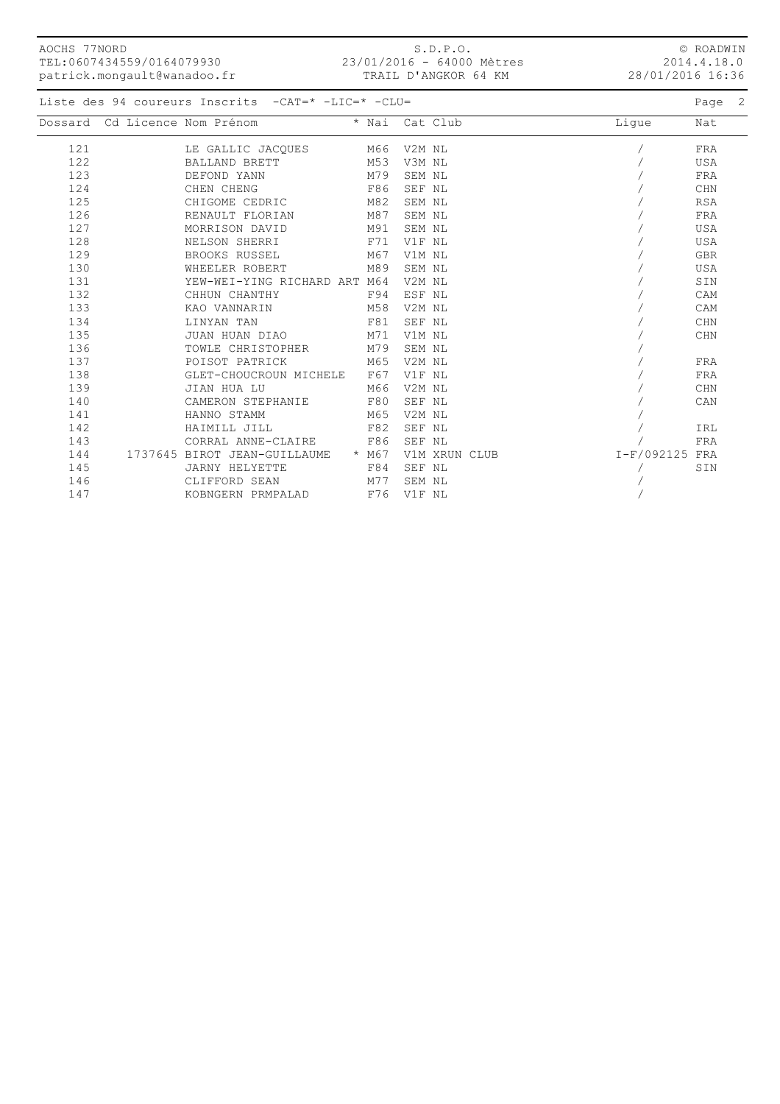| AOCHS 77NORD | TEL:0607434559/0164079930<br>patrick.mongault@wanadoo.fr |                                                    |         | S.D.P.O.<br>23/01/2016 - 64000 Mètres<br>TRAIL D'ANGKOR 64 KM |       | 28/01/2016 16:36 | © ROADWIN<br>2014.4.18.0 |  |
|--------------|----------------------------------------------------------|----------------------------------------------------|---------|---------------------------------------------------------------|-------|------------------|--------------------------|--|
|              |                                                          | Liste des 94 coureurs Inscrits -CAT=* -LIC=* -CLU= |         |                                                               |       |                  | Page 2                   |  |
|              | Dossard Cd Licence Nom Prénom                            |                                                    | * Nai   | Cat Club                                                      | Lique |                  | Nat                      |  |
| 121          |                                                          | LE GALLIC JACQUES                                  | M66     | V2M NL                                                        |       |                  | FRA                      |  |
| 122          |                                                          | BALLAND BRETT                                      | M53     | V3M NL                                                        |       |                  | <b>USA</b>               |  |
| 123          |                                                          | DEFOND YANN                                        | M79     | SEM NL                                                        |       |                  | FRA                      |  |
| 124          |                                                          | CHEN CHENG                                         | F86     | SEF NL                                                        |       |                  | CHN                      |  |
| 125          |                                                          | CHIGOME CEDRIC                                     | M82     | SEM NL                                                        |       |                  | <b>RSA</b>               |  |
| 126          |                                                          | RENAULT FLORIAN                                    | M87     | SEM NL                                                        |       |                  | FRA                      |  |
| 127          |                                                          | MORRISON DAVID                                     | M91     | SEM NL                                                        |       |                  | USA                      |  |
| 128          |                                                          | NELSON SHERRI                                      | F71     | V1F NL                                                        |       |                  | USA                      |  |
| 129          |                                                          | BROOKS RUSSEL                                      | M67     | V1M NL                                                        |       |                  | <b>GBR</b>               |  |
| 130          |                                                          | WHEELER ROBERT                                     | M89     | SEM NL                                                        |       |                  | <b>USA</b>               |  |
| 131          |                                                          | YEW-WEI-YING RICHARD ART M64                       |         | V2M NL                                                        |       |                  | SIN                      |  |
| 132          |                                                          | CHHUN CHANTHY                                      | F94     | ESF NL                                                        |       |                  | CAM                      |  |
| 133          |                                                          | KAO VANNARIN                                       | M58     | V2M NL                                                        |       |                  | CAM                      |  |
| 134          |                                                          | LINYAN TAN                                         | F81     | SEF NL                                                        |       |                  | CHN                      |  |
| 135          |                                                          | JUAN HUAN DIAO                                     | M71     | V1M NL                                                        |       |                  | CHN                      |  |
| 136          |                                                          | TOWLE CHRISTOPHER                                  | M79     | SEM NL                                                        |       |                  |                          |  |
| 137          |                                                          | POISOT PATRICK                                     | M65     | V2M NL                                                        |       |                  | FRA                      |  |
| 138          |                                                          | GLET-CHOUCROUN MICHELE                             | F67     | V1F NL                                                        |       |                  | FRA                      |  |
| 139          |                                                          | JIAN HUA LU                                        | M66     | V2M NL                                                        |       |                  | <b>CHN</b>               |  |
| 140          |                                                          | CAMERON STEPHANIE                                  | F80     | SEF NL                                                        |       |                  | CAN                      |  |
| 141          |                                                          | HANNO STAMM                                        | M65     | V2M NL                                                        |       |                  |                          |  |
| 142          |                                                          | HAIMILL JILL                                       | F82     | SEF NL                                                        |       |                  | IRL                      |  |
| 143          |                                                          | CORRAL ANNE-CLAIRE                                 | F86     | SEF NL                                                        |       |                  | FRA                      |  |
| 144          |                                                          | 1737645 BIROT JEAN-GUILLAUME                       | $*$ M67 | V1M XRUN CLUB                                                 |       | $I-F/092125$ FRA |                          |  |
| 145          |                                                          | <b>JARNY HELYETTE</b>                              | F84     | SEF NL                                                        |       |                  | SIN                      |  |

 146 CLIFFORD SEAN M77 SEM NL / 147 KOBNGERN PRMPALAD F76 V1F NL /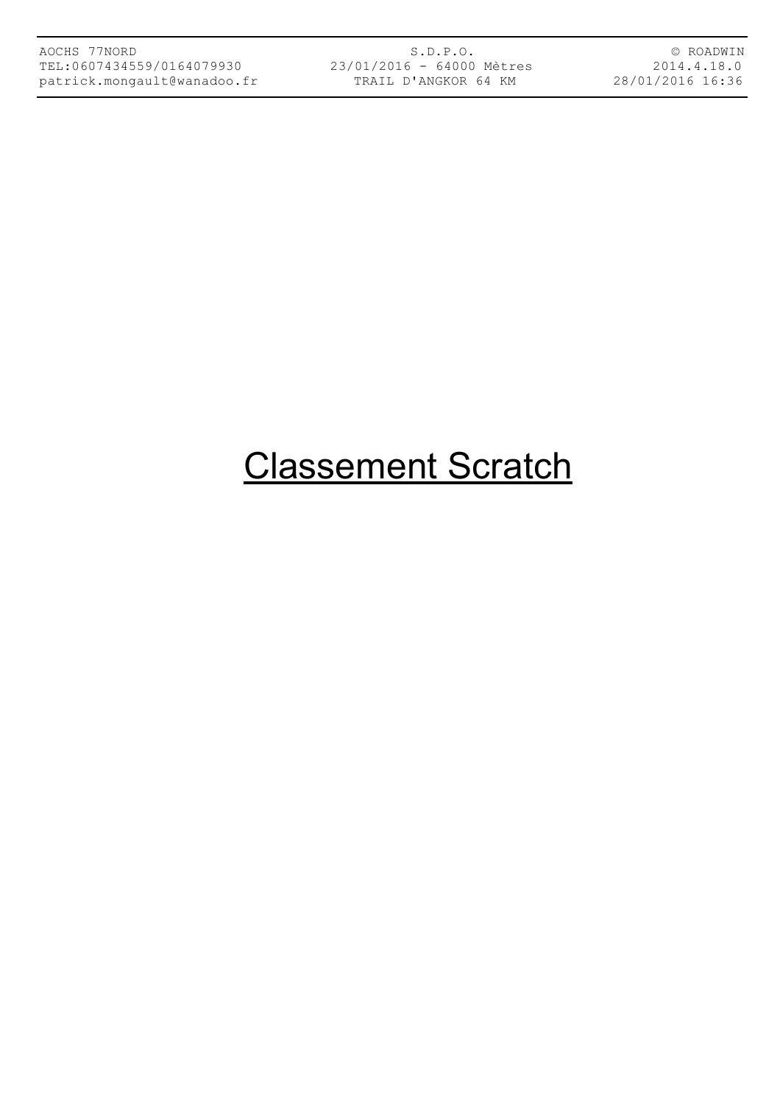S.D.P.O. 23/01/2016 - 64000 Mètres TRAIL D'ANGKOR 64 KM

© ROADWIN 2014.4.18.0 28/01/2016 16:36

# Classement Scratch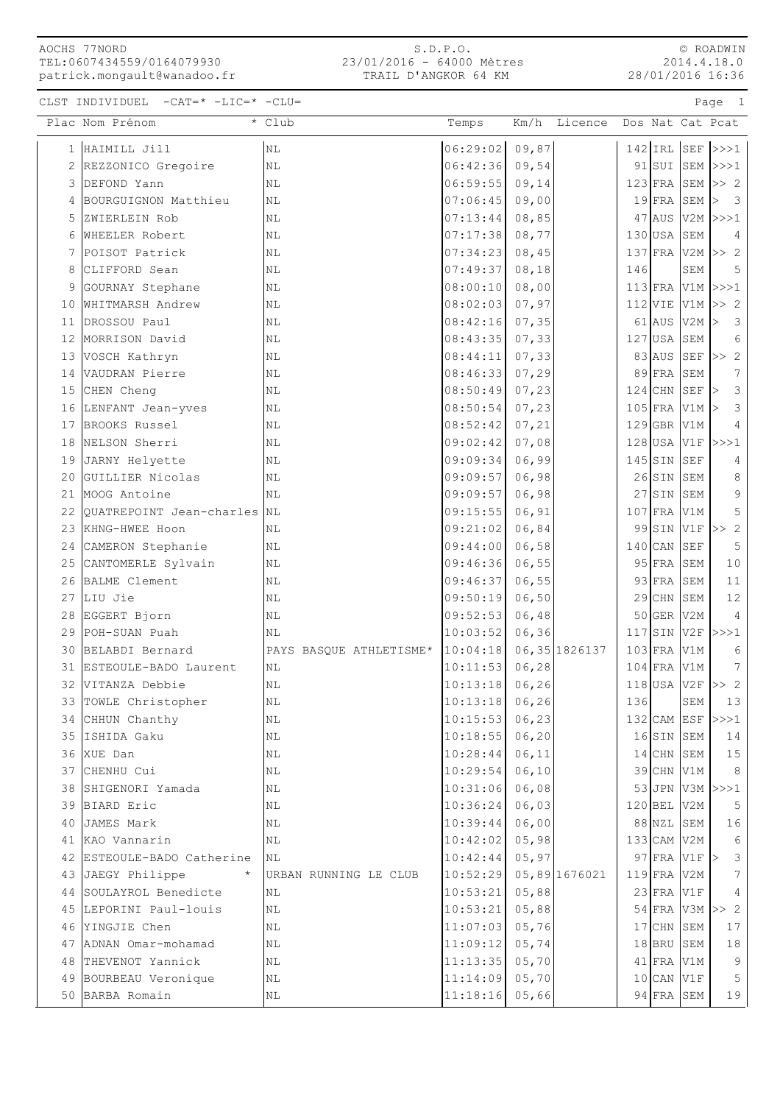S.D.P.O. 23/01/2016 - 64000 Mètres TRAIL D'ANGKOR 64 KM

© ROADWIN 2014.4.18.0 28/01/2016 16:36

CLST INDIVIDUEL -CAT=\* -LIC=\* -CLU= Page 1

|    | Plac Nom Prénom            | * Club                  | Temps    | Km/h   | Licence        |     |               |                      | Dos Nat Cat Pcat                  |
|----|----------------------------|-------------------------|----------|--------|----------------|-----|---------------|----------------------|-----------------------------------|
|    | 1 HAIMILL Jill             | N <sub>L</sub>          | 06:29:02 | 09,87  |                |     | $142$ IRL SEF |                      | >>>1                              |
|    | 2 REZZONICO Gregoire       | NL                      | 06:42:36 | 09,54  |                |     |               |                      | $91$ SUI SEM >>>1                 |
| 3  | DEFOND Yann                | NL                      | 06:59:55 | 09, 14 |                |     | $123$ FRA     |                      | $SEM$ >> 2                        |
| 4  | BOURGUIGNON Matthieu       | ΝL                      | 07:06:45 | 09,00  |                |     | $19$ $FRA$    | SEM                  | $\overline{\mathbf{3}}$<br>>      |
| 5  | ZWIERLEIN Rob              | NL                      | 07:13:44 | 08,85  |                |     | $47$ AUS      |                      | $V2M$ $>>$ $1$                    |
| 6  | <b>WHEELER</b> Robert      | NL                      | 07:17:38 | 08,77  |                |     | $130$ USA     | SEM                  | 4                                 |
| 7  | POISOT Patrick             | ΝL                      | 07:34:23 | 08,45  |                |     | $137$ FRA     |                      | $V2M \geq 2$                      |
| 8  | CLIFFORD Sean              | ΝL                      | 07:49:37 | 08, 18 |                | 146 |               | SEM                  | 5                                 |
| 9  | GOURNAY Stephane           | ΝL                      | 08:00:10 | 08,00  |                |     | $113$ $FRA$   | V1M                  | >>>1                              |
| 10 | WHITMARSH Andrew           | ΝL                      | 08:02:03 | 07,97  |                |     | $112$ VIE     | V1M                  | >> 2                              |
|    | 11 DROSSOU Paul            | NL                      | 08:42:16 | 07, 35 |                |     | $61$ AUS      | V2M                  | $\overline{\mathbf{3}}$<br>$\geq$ |
|    | 12 MORRISON David          | NL                      | 08:43:35 | 07, 33 |                |     | $127$ USA     | SEM                  | 6                                 |
| 13 | VOSCH Kathryn              | ΝL                      | 08:44:11 | 07, 33 |                |     | $83$ AUS      | SEF                  | >> 2                              |
| 14 | VAUDRAN Pierre             | ΝL                      | 08:46:33 | 07,29  |                |     | $89$ FRA      | SEM                  | 7                                 |
| 15 | CHEN Cheng                 | ΝL                      | 08:50:49 | 07, 23 |                |     | $124$ CHN     | SEF                  | $\mathfrak{Z}$                    |
| 16 | LENFANT Jean-yves          | $\rm NL$                | 08:50:54 | 07, 23 |                |     | $105$ FRA     | V1M                  | 3                                 |
| 17 | BROOKS Russel              | ΝL                      | 08:52:42 | 07, 21 |                |     | $129$ GBR     | V1M                  | $\overline{4}$                    |
| 18 | NELSON Sherri              | ΝL                      | 09:02:42 | 07,08  |                |     | $128$ USA     | V1F                  | >>>1                              |
| 19 | JARNY Helyette             | ΝL                      | 09:09:34 | 06,99  |                |     | $145$ SIN     | <b>SEF</b>           | 4                                 |
| 20 | GUILLIER Nicolas           | ΝL                      | 09:09:57 | 06,98  |                |     | $26$ SIN      | SEM                  | 8                                 |
| 21 | MOOG Antoine               | NL                      | 09:09:57 | 06,98  |                |     | $27$ $SIN$    | SEM                  | 9                                 |
| 22 | QUATREPOINT Jean-charles   | NL                      | 09:15:55 | 06, 91 |                |     | $107$ FRA     | V1M                  | 5                                 |
| 23 | KHNG-HWEE Hoon             | ΝL                      | 09:21:02 | 06,84  |                |     | $99$ $SIN$    | V1F                  | >> 2                              |
| 24 | CAMERON Stephanie          | ΝL                      | 09:44:00 | 06,58  |                |     | $140$ CAN     | <b>SEF</b>           | 5                                 |
| 25 | CANTOMERLE Sylvain         | N <sub>L</sub>          | 09:46:36 | 06,55  |                |     | $95$ FRA      | SEM                  | 10                                |
| 26 | BALME Clement              | NL                      | 09:46:37 | 06,55  |                |     | $93$ FRA      | SEM                  | 11                                |
| 27 | LIU Jie                    | ΝL                      | 09:50:19 | 06,50  |                |     | $29$ CHN      | SEM                  | 12                                |
| 28 | EGGERT Bjorn               | ΝL                      | 09:52:53 | 06,48  |                |     | $50$ GER      | V2M                  | 4                                 |
| 29 | POH-SUAN Puah              | ΝL                      | 10:03:52 | 06, 36 |                |     | $117$ SIN     | V2F                  | >>>1                              |
| 30 | BELABDI Bernard            | PAYS BASQUE ATHLETISME* | 10:04:18 |        | 06, 35 1826137 |     | $103$ FRA     | V1M                  | 6                                 |
| 31 | ESTEOULE-BADO Laurent      | NL                      | 10:11:53 | 06, 28 |                |     | $104$ FRA     | V1M                  | $7\phantom{.0}$                   |
|    | 32 VITANZA Debbie          | NL                      | 10:13:18 | 06, 26 |                |     | $118$ USA     | V2F                  | >> 2                              |
| 33 | TOWLE Christopher          | ΝL                      | 10:13:18 | 06, 26 |                | 136 |               | SEM                  | 13                                |
|    | 34 CHHUN Chanthy           | NL                      | 10:15:53 | 06, 23 |                |     | $132$ CAM ESF |                      | >>>1                              |
|    | 35 ISHIDA Gaku             | NL                      | 10:18:55 | 06, 20 |                |     | 16SIN SEM     |                      | 14                                |
|    | 36 XUE Dan                 | NL                      | 10:28:44 | 06, 11 |                |     | 14 CHN SEM    |                      | 15                                |
|    | 37 CHENHU Cui              | ΝL                      | 10:29:54 | 06, 10 |                |     | $39$ CHN      | V1M                  | 8                                 |
| 38 | SHIGENORI Yamada           | ΝL                      | 10:31:06 | 06,08  |                |     |               |                      | 53 JPN V3M >>>1                   |
|    | 39 BIARD Eric              | ΝL                      | 10:36:24 | 06,03  |                |     | $120$ BEL     | V2M                  | 5                                 |
|    | 40 JAMES Mark              | ΝL                      | 10:39:44 | 06,00  |                |     | $88$ NZL      | SEM                  | 16                                |
|    | 41 KAO Vannarin            | NL                      | 10:42:02 | 05,98  |                |     | $133$ CAM V2M |                      | $\sqrt{6}$                        |
|    | 42 ESTEOULE-BADO Catherine | ΝL                      | 10:42:44 | 05, 97 |                |     |               | $97$ $FRA$ $V1F$ $>$ | 3                                 |
|    | 43 JAEGY Philippe          | URBAN RUNNING LE CLUB   | 10:52:29 |        | 05,89 1676021  |     | 119 FRA       | V2M                  | $7\phantom{.0}$                   |
| 44 | SOULAYROL Benedicte        | ΝL                      | 10:53:21 | 05,88  |                |     | $23$ FRA      | V1F                  | 4                                 |
| 45 | LEPORINI Paul-louis        | ΝL                      | 10:53:21 | 05,88  |                |     | $54$ FRA      | V3M                  | >> 2                              |
|    | 46 YINGJIE Chen            | NL                      | 11:07:03 | 05,76  |                |     | $17$ CHN      | SEM                  | 17                                |
|    | 47 ADNAN Omar-mohamad      | ΝL                      | 11:09:12 | 05, 74 |                |     | $18$ $BRU$    | SEM                  | 18                                |
| 48 | THEVENOT Yannick           | ΝL                      | 11:13:35 | 05,70  |                |     | $41$ FRA      | V1M                  | 9                                 |
| 49 | BOURBEAU Veronique         | NL                      | 11:14:09 | 05,70  |                |     | $10$ CAN      | V1F                  | 5                                 |
|    | 50 BARBA Romain            | ΝL                      | 11:18:16 | 05,66  |                |     | $94$ FRA      | SEM                  | 19                                |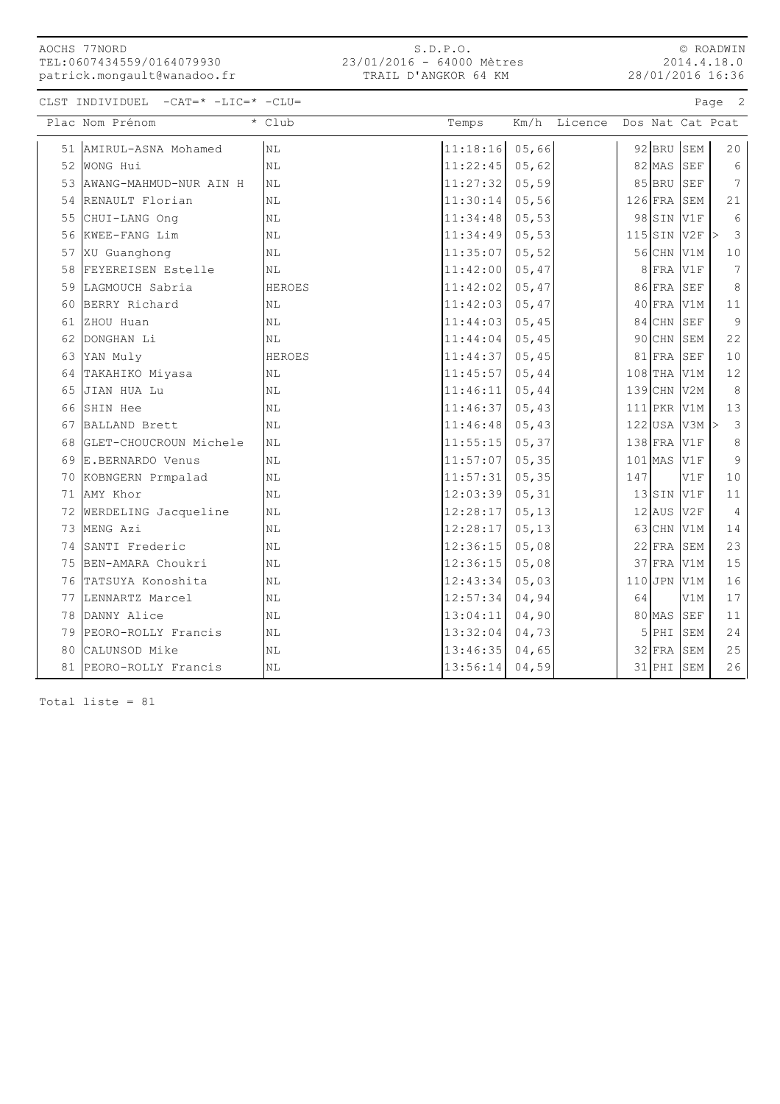S.D.P.O. 23/01/2016 - 64000 Mètres TRAIL D'ANGKOR 64 KM

© ROADWIN 2014.4.18.0 28/01/2016 16:36

CLST INDIVIDUEL -CAT=\* -LIC=\* -CLU= Page 2

|    | Plac Nom Prénom           | * Club                 | Temps    | Km/h   | Licence | Dos Nat Cat Pcat |                   |                      |                 |
|----|---------------------------|------------------------|----------|--------|---------|------------------|-------------------|----------------------|-----------------|
| 51 | AMIRUL-ASNA Mohamed       | N <sub>L</sub>         | 11:18:16 | 05,66  |         |                  | $92$ BRU          | SEM                  | 20              |
|    | 52 WONG Hui               | N <sub>L</sub>         | 11:22:45 | 05,62  |         |                  | $82$ MAS          | SEF                  | $\epsilon$      |
|    | 53 AWANG-MAHMUD-NUR AIN H | NL                     | 11:27:32 | 05,59  |         |                  | $85$ BRU          | SEF                  | $7\phantom{.0}$ |
|    | 54 RENAULT Florian        | NL                     | 11:30:14 | 05,56  |         |                  | $126$ FRA         | SEM                  | 21              |
| 55 | CHUI-LANG Ong             | ΝL                     | 11:34:48 | 05, 53 |         |                  | $98$ $SIN$        | V1F                  | $\epsilon$      |
| 56 | KWEE-FANG Lim             | ΝL                     | 11:34:49 | 05, 53 |         |                  | $115$ SIN         | V2F                  | $\mathcal{E}$   |
| 57 | XU Guanghong              | ΝL                     | 11:35:07 | 05, 52 |         |                  | $56$ CHN          | V1M                  | 10              |
| 58 | FEYEREISEN Estelle        | ΝL                     | 11:42:00 | 05,47  |         |                  | $8$ FRA           | V1F                  | $\overline{7}$  |
|    | 59 LAGMOUCH Sabria        | HEROES                 | 11:42:02 | 05,47  |         |                  | $86$ FRA          | $\operatorname{SEF}$ | 8               |
| 60 | BERRY Richard             | NL                     | 11:42:03 | 05,47  |         |                  | 40 FRA V1M        |                      | 11              |
| 61 | ZHOU Huan                 | NL                     | 11:44:03 | 05, 45 |         |                  | $84$ CHN          | SEF                  | 9               |
| 62 | DONGHAN Li                | NL                     | 11:44:04 | 05, 45 |         |                  | $90$ CHN          | SEM                  | 22              |
| 63 | YAN Muly                  | <b>HEROES</b>          | 11:44:37 | 05, 45 |         |                  | $81$ FRA          | SEF                  | 10              |
| 64 | TAKAHIKO Miyasa           | NL                     | 11:45:57 | 05, 44 |         |                  | $108$ THA         | V1M                  | 12              |
| 65 | JIAN HUA Lu               | ΝL                     | 11:46:11 | 05,44  |         |                  | $139$ CHN         | V2M                  | 8               |
| 66 | SHIN Hee                  | NL                     | 11:46:37 | 05, 43 |         |                  | $111$ PKR V1M     |                      | 13              |
| 67 | BALLAND Brett             | NL                     | 11:46:48 | 05, 43 |         |                  | $122$ USA V3M $>$ |                      | 3               |
| 68 | GLET-CHOUCROUN Michele    | NL                     | 11:55:15 | 05, 37 |         |                  | 138 FRA V1F       |                      | $\,8\,$         |
| 69 | E.BERNARDO Venus          | N <sub>L</sub>         | 11:57:07 | 05, 35 |         | $101$ MAS        |                   | V1F                  | 9               |
| 70 | KOBNGERN Prmpalad         | NL                     | 11:57:31 | 05, 35 |         | 147              |                   | V1F                  | $10$            |
| 71 | AMY Khor                  | NL                     | 12:03:39 | 05, 31 |         |                  | $13$ $SIN$        | V1F                  | 11              |
| 72 | WERDELING Jacqueline      | NL                     | 12:28:17 | 05, 13 |         |                  | $12$ AUS          | V2F                  | $\overline{4}$  |
|    | 73 MENG Azi               | NL                     | 12:28:17 | 05, 13 |         |                  | $63$ CHN          | V1M                  | 14              |
|    | 74 SANTI Frederic         | NL                     | 12:36:15 | 05,08  |         |                  | $22$ FRA          | SEM                  | 23              |
|    | 75 BEN-AMARA Choukri      | NL                     | 12:36:15 | 05,08  |         |                  | $37$ FRA          | V1M                  | 15              |
|    | 76 TATSUYA Konoshita      | $\mathbb{N}\mathbb{L}$ | 12:43:34 | 05,03  |         |                  | $110$ JPN         | V1M                  | 16              |
| 77 | LENNARTZ Marcel           | ΝL                     | 12:57:34 | 04,94  |         | 64               |                   | V1M                  | 17              |
|    | 78 DANNY Alice            | ΝL                     | 13:04:11 | 04,90  |         |                  | 80 MAS            | $\operatorname{SEF}$ | $1\,1$          |
| 79 | PEORO-ROLLY Francis       | ΝL                     | 13:32:04 | 04,73  |         |                  | 5 PHI             | SEM                  | 24              |
| 80 | CALUNSOD Mike             | NL                     | 13:46:35 | 04,65  |         |                  | $32$ FRA          | ${\tt SEM}$          | 25              |
| 81 | PEORO-ROLLY Francis       | NL                     | 13:56:14 | 04,59  |         |                  | $31$ PHI          | SEM                  | 26              |

Total liste = 81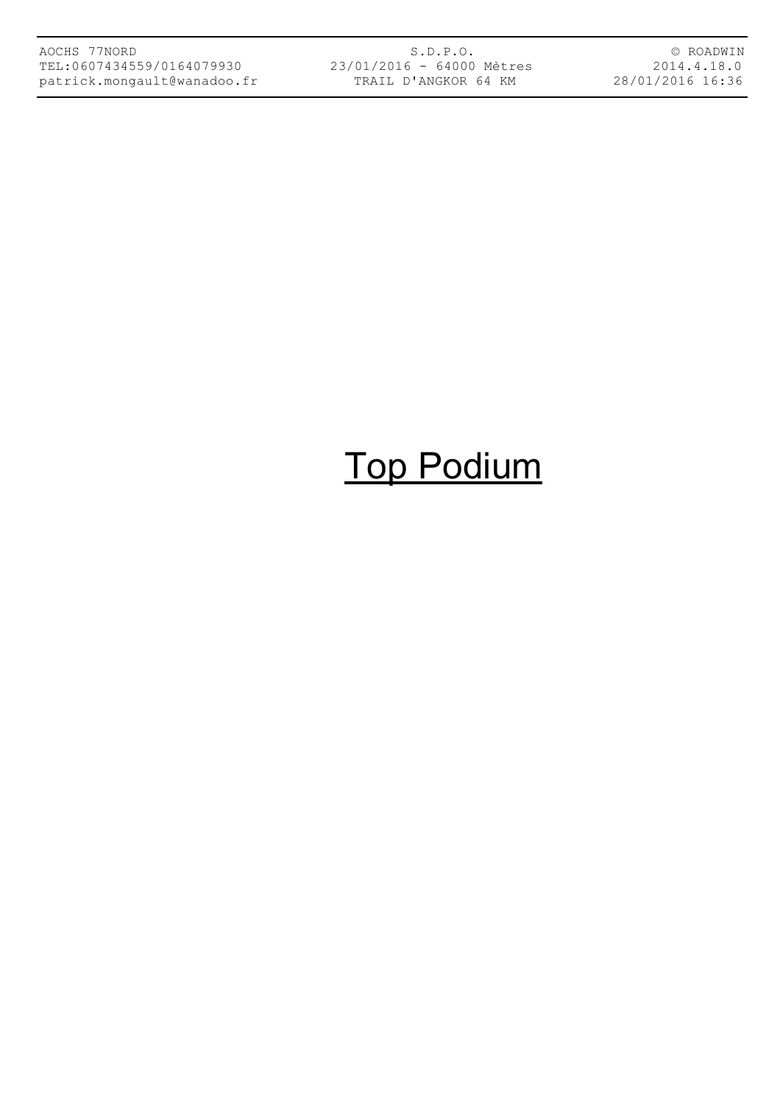S.D.P.O. 23/01/2016 - 64000 Mètres TRAIL D'ANGKOR 64 KM

© ROADWIN 2014.4.18.0 28/01/2016 16:36

## Top Podium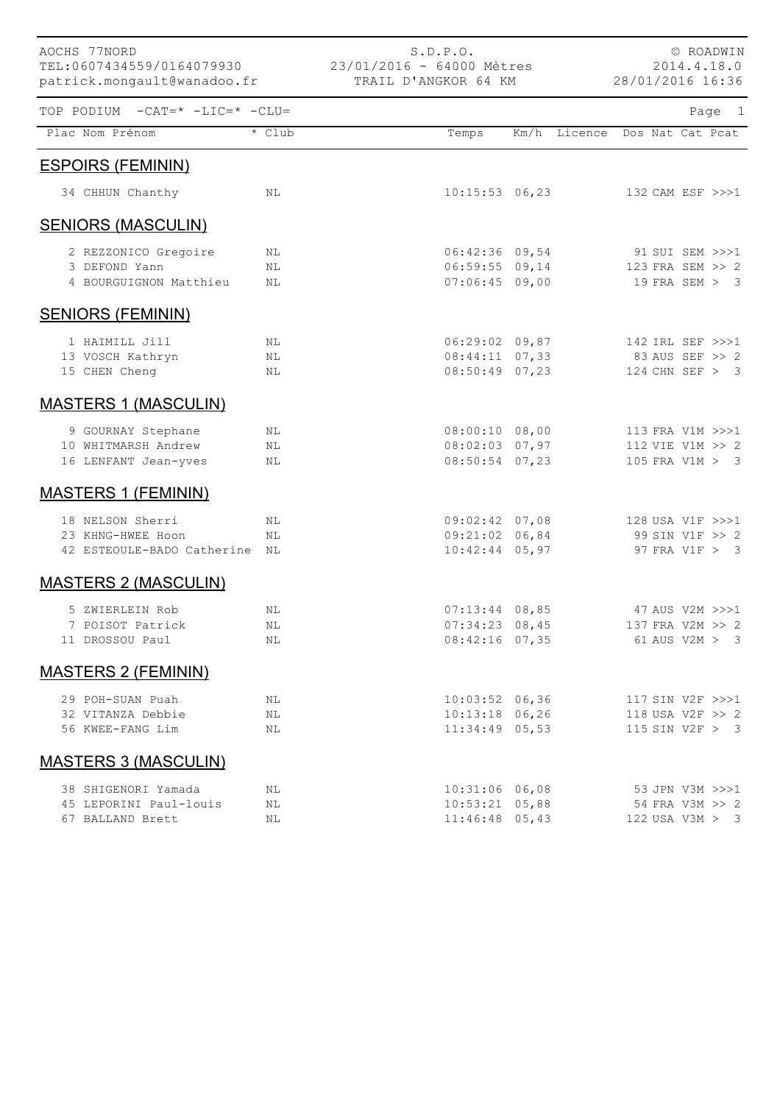| AOCHS 77NORD<br>TEL:0607434559/0164079930<br>patrick.mongault@wanadoo.fr |        | 23/01/2016 - 64000 Mètres<br>TRAIL D'ANGKOR 64 KM | S.D.P.O.         |                               | 28/01/2016 16:36 | © ROADWIN<br>2014.4.18.0 |        |  |
|--------------------------------------------------------------------------|--------|---------------------------------------------------|------------------|-------------------------------|------------------|--------------------------|--------|--|
| TOP PODIUM -CAT=* -LIC=* -CLU=                                           |        |                                                   |                  |                               |                  |                          | Page 1 |  |
| Plac Nom Prénom                                                          | * Club |                                                   | Temps            | Km/h Licence Dos Nat Cat Pcat |                  |                          |        |  |
| <b>ESPOIRS (FEMININ)</b>                                                 |        |                                                   |                  |                               |                  |                          |        |  |
| 34 CHHUN Chanthy                                                         | NL     |                                                   | $10:15:53$ 06,23 |                               |                  | 132 CAM ESF >>>1         |        |  |
| <b>SENIORS (MASCULIN)</b>                                                |        |                                                   |                  |                               |                  |                          |        |  |
| 2 REZZONICO Gregoire                                                     | NL     |                                                   | $06:42:36$ 09,54 |                               |                  | 91 SUI SEM >>>1          |        |  |
| 3 DEFOND Yann                                                            | ΝL     |                                                   | $06:59:55$ 09,14 |                               |                  | 123 FRA SEM >> 2         |        |  |
| 4 BOURGUIGNON Matthieu                                                   | ΝL     |                                                   | $07:06:45$ 09,00 |                               |                  | 19 FRA SEM > 3           |        |  |
| <b>SENIORS (FEMININ)</b>                                                 |        |                                                   |                  |                               |                  |                          |        |  |
| 1 HAIMILL Jill                                                           | NL     |                                                   | $06:29:02$ 09,87 |                               |                  | 142 IRL SEF >>>1         |        |  |
| 13 VOSCH Kathryn                                                         | NL     |                                                   | $08:44:11$ 07,33 |                               |                  | 83 AUS SEF >> 2          |        |  |
| 15 CHEN Cheng                                                            | NL     |                                                   | $08:50:49$ 07,23 |                               |                  | 124 CHN SEF $> 3$        |        |  |
| <b>MASTERS 1 (MASCULIN)</b>                                              |        |                                                   |                  |                               |                  |                          |        |  |
| 9 GOURNAY Stephane                                                       | NL     |                                                   | $08:00:10$ 08,00 |                               |                  | 113 FRA V1M >>>1         |        |  |
| 10 WHITMARSH Andrew                                                      | ΝL     |                                                   | $08:02:03$ 07,97 |                               |                  | 112 VIE V1M >> 2         |        |  |
| 16 LENFANT Jean-yves                                                     | ΝL     |                                                   | $08:50:54$ 07,23 |                               |                  | 105 FRA V1M > 3          |        |  |
| <b>MASTERS 1 (FEMININ)</b>                                               |        |                                                   |                  |                               |                  |                          |        |  |
| 18 NELSON Sherri                                                         | ΝL     |                                                   | $09:02:42$ 07,08 |                               |                  | 128 USA V1F >>>1         |        |  |
| 23 KHNG-HWEE Hoon                                                        | NL     |                                                   | $09:21:02$ 06,84 |                               |                  | 99 SIN V1F >> 2          |        |  |
| 42 ESTEOULE-BADO Catherine                                               | NL     |                                                   | $10:42:44$ 05,97 |                               |                  | 97 FRA V1F > 3           |        |  |
| <b>MASTERS 2 (MASCULIN)</b>                                              |        |                                                   |                  |                               |                  |                          |        |  |
| 5 ZWIERLEIN Rob                                                          | NL     |                                                   | $07:13:44$ 08,85 |                               |                  | 47 AUS V2M >>>1          |        |  |
| 7 POISOT Patrick                                                         | ΝL     |                                                   | $07:34:23$ 08,45 |                               |                  | 137 FRA V2M >> 2         |        |  |
| 11 DROSSOU Paul                                                          | NL     |                                                   | $08:42:16$ 07,35 |                               |                  | $61$ AUS V2M $>$ 3       |        |  |
| <b>MASTERS 2 (FEMININ)</b>                                               |        |                                                   |                  |                               |                  |                          |        |  |
| 29 POH-SUAN Puah                                                         | NL     |                                                   | $10:03:52$ 06,36 |                               |                  | 117 SIN V2F >>>1         |        |  |
| 32 VITANZA Debbie                                                        | ΝL     |                                                   | $10:13:18$ 06,26 |                               |                  | 118 USA V2F >> 2         |        |  |
| 56 KWEE-FANG Lim                                                         | NL     |                                                   | $11:34:49$ 05,53 |                               |                  | 115 SIN V2F > 3          |        |  |
| <b>MASTERS 3 (MASCULIN)</b>                                              |        |                                                   |                  |                               |                  |                          |        |  |
| 38 SHIGENORI Yamada                                                      | ΝL     |                                                   | $10:31:06$ 06,08 |                               |                  | 53 JPN V3M >>>1          |        |  |
| 45 LEPORINI Paul-louis                                                   | ΝL     |                                                   | $10:53:21$ 05,88 |                               |                  | 54 FRA V3M >> 2          |        |  |
| 67 BALLAND Brett                                                         | ΝL     |                                                   | $11:46:48$ 05,43 |                               |                  | 122 USA V3M > 3          |        |  |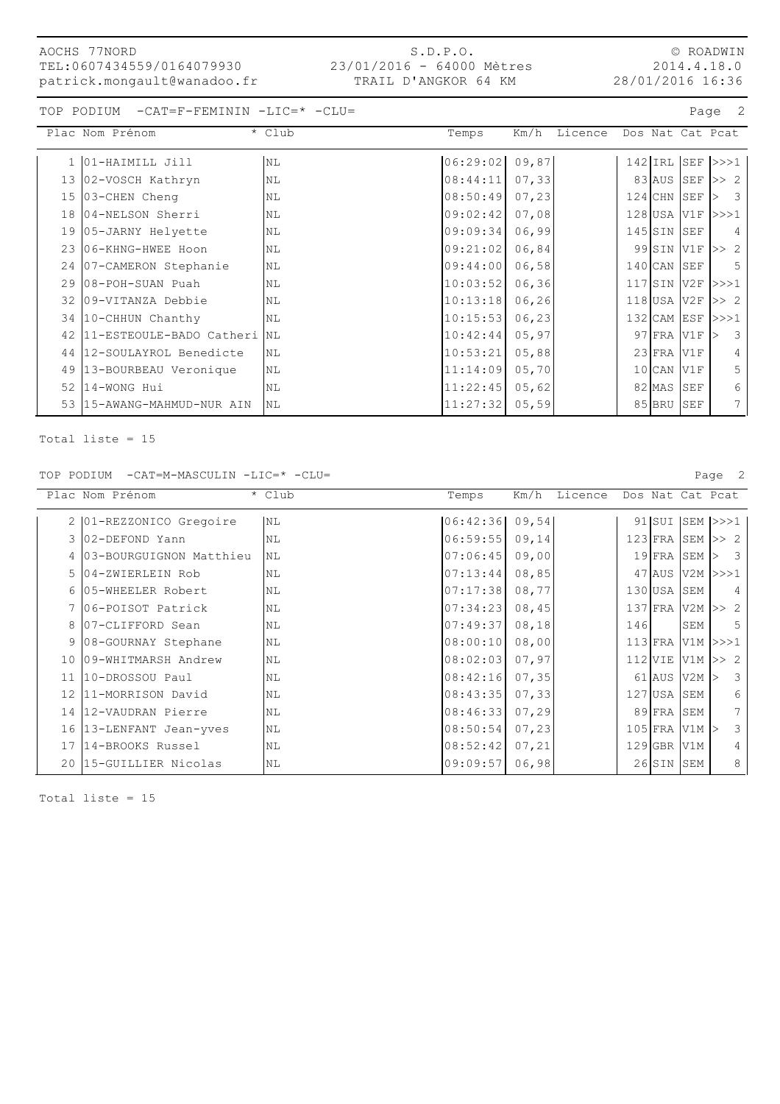#### S.D.P.O. 23/01/2016 - 64000 Mètres TRAIL D'ANGKOR 64 KM

© ROADWIN 2014.4.18.0 28/01/2016 16:36

TOP PODIUM -CAT=F-FEMININ -LIC=\* -CLU= Page 2

|    | Plac Nom Prénom             | * Club         | Temps    | Km/h   | Licence |                  | Dos Nat Cat Pcat        |                         |             |
|----|-----------------------------|----------------|----------|--------|---------|------------------|-------------------------|-------------------------|-------------|
|    | 1 01-HAIMILL Jill           | <b>NL</b>      | 06:29:02 | 09,87  |         |                  | $142$ IRL SEF $\ge$ >>1 |                         |             |
| 13 | 02-VOSCH Kathryn            | N <sub>L</sub> | 08:44:11 | 07,33  |         |                  | $83$ AUS SEF $\gg$ 2    |                         |             |
| 15 | 03-CHEN Cheng               | <b>NL</b>      | 08:50:49 | 07,23  |         |                  | $124$ CHN SEF           | > 3                     |             |
| 18 | 04-NELSON Sherri            | <b>NL</b>      | 09:02:42 | 07,08  |         |                  | 128 USA V1F >>>1        |                         |             |
| 19 | 05-JARNY Helyette           | NL             | 09:09:34 | 06,99  |         | $145$ SIN        | SEF                     |                         | 4           |
| 23 | 106-KHNG-HWEE Hoon          | <b>NL</b>      | 09:21:02 | 06,84  |         | 99 SIN V1F       |                         | >> 2                    |             |
|    | 24   07-CAMERON Stephanie   | N <sub>L</sub> | 09:44:00 | 06,58  |         | $140$ CAN        | SEF                     |                         | 5           |
| 29 | 08-POH-SUAN Puah            | <b>NL</b>      | 10:03:52 | 06, 36 |         |                  | 117 SIN V2F >>>1        |                         |             |
| 32 | 109-VITANZA Debbie          | <b>NL</b>      | 10:13:18 | 06, 26 |         | $118$ USA V2F    |                         | >> 2                    |             |
|    | 34 10-CHHUN Chanthy         | N <sub>L</sub> | 10:15:53 | 06,23  |         |                  | 132 CAM ESF >>>1        |                         |             |
| 42 | 11-ESTEOULE-BADO Catheri NL |                | 10:42:44 | 05, 97 |         | $97$ $FRA$ $V1F$ |                         | $\overline{\mathbf{3}}$ |             |
| 44 | 12-SOULAYROL Benedicte      | <b>NL</b>      | 10:53:21 | 05,88  |         | $23$ FRA         | V1F                     |                         | 4           |
| 49 | 13-BOURBEAU Veronique       | N <sub>L</sub> | 11:14:09 | 05,70  |         | $10$ CAN         | V1F                     |                         | 5           |
| 52 | 14-WONG Hui                 | N <sub>L</sub> | 11:22:45 | 05,62  |         | 82 MAS           | <b>SEF</b>              |                         | 6           |
| 53 | 15-AWANG-MAHMUD-NUR AIN     | <b>NL</b>      | 11:27:32 | 05,59  |         | 85 BRU           | SEF                     |                         | $7^{\circ}$ |

Total liste = 15

TOP PODIUM -CAT=M-MASCULIN -LIC=\* -CLU= Page 2

Plac Nom Prénom \* Club \* Club Temps Km/h Licence Dos Nat Cat Pcat 2 | 01-REZZONICO Gregoire | NL  $|06:42:36|09,54|$  | 91 | SUI SEM | >>>1 3 02-DEFOND Yann NL NL 06:59:55 09,14 123 FRA SEM >> 2 4 03-BOURGUIGNON Matthieu NL 67:06:45 09,00 19 FRA SEM > 3 5 04-ZWIERLEIN Rob NL 07:13:44 08,85 47 AUS V2M >>>1 6 05-WHEELER Robert NL 130 USA SEM 4 7 06-POISOT Patrick NL 07:34:23 08,45 137 FRA V2M >> 2 8 07-CLIFFORD Sean NL 2013 146 SEM 5 9 08-GOURNAY Stephane NL 108:00:10 08,00 113 FRA V1M >>>1 10 09-WHITMARSH Andrew NL 108:02:03 07,97 112 VIE V1M >> 2 11 10-DROSSOU Paul NL NL 61 AUSTRO 108:42:16 07,35 61 AUS V2M > 3 12 11-MORRISON David NL NL 08:43:35 07,33 127 USA SEM 6 14 12-VAUDRAN Pierre NL NL 89 FRA SEM 7 16 13-LENFANT Jean-yves NL 08:50:54 07,23 105 FRA V1M > 3 17 14-BROOKS Russel NL NL 08:52:42 07,21 129 GBR V1M 4 20 15-GUILLIER Nicolas NL 09:09:57 06,98 26 SIN SEM 8

Total liste = 15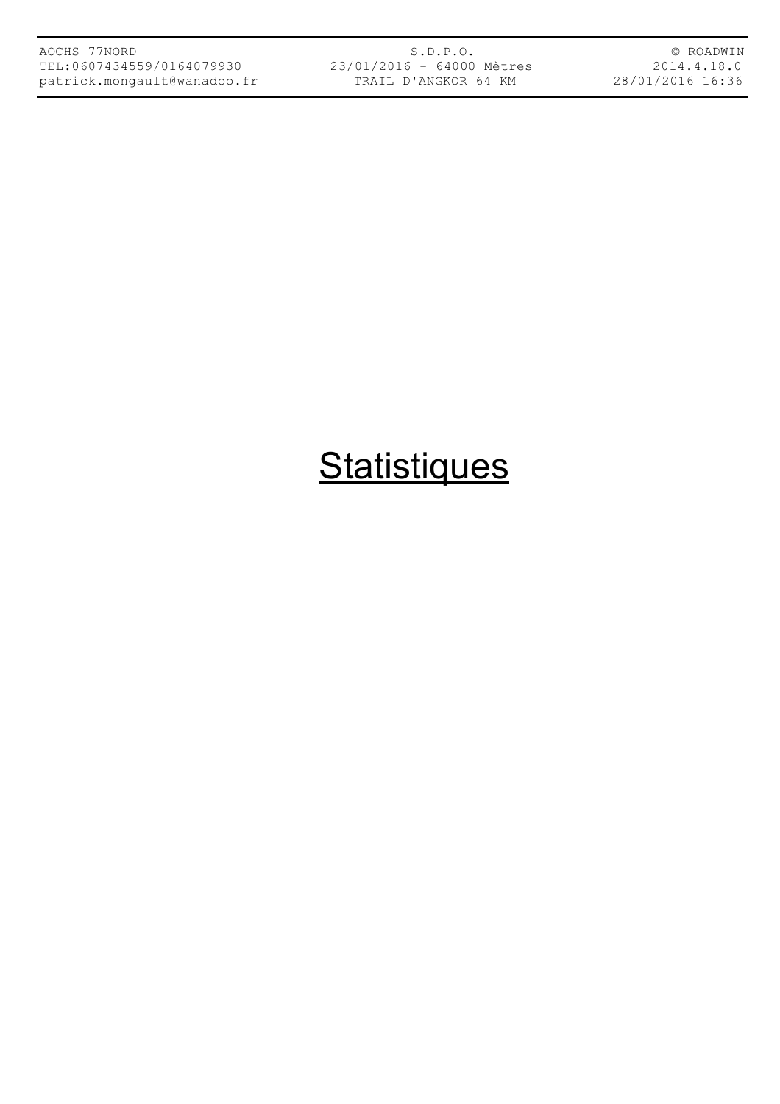S.D.P.O. 23/01/2016 - 64000 Mètres TRAIL D'ANGKOR 64 KM

© ROADWIN 2014.4.18.0 28/01/2016 16:36

# **Statistiques**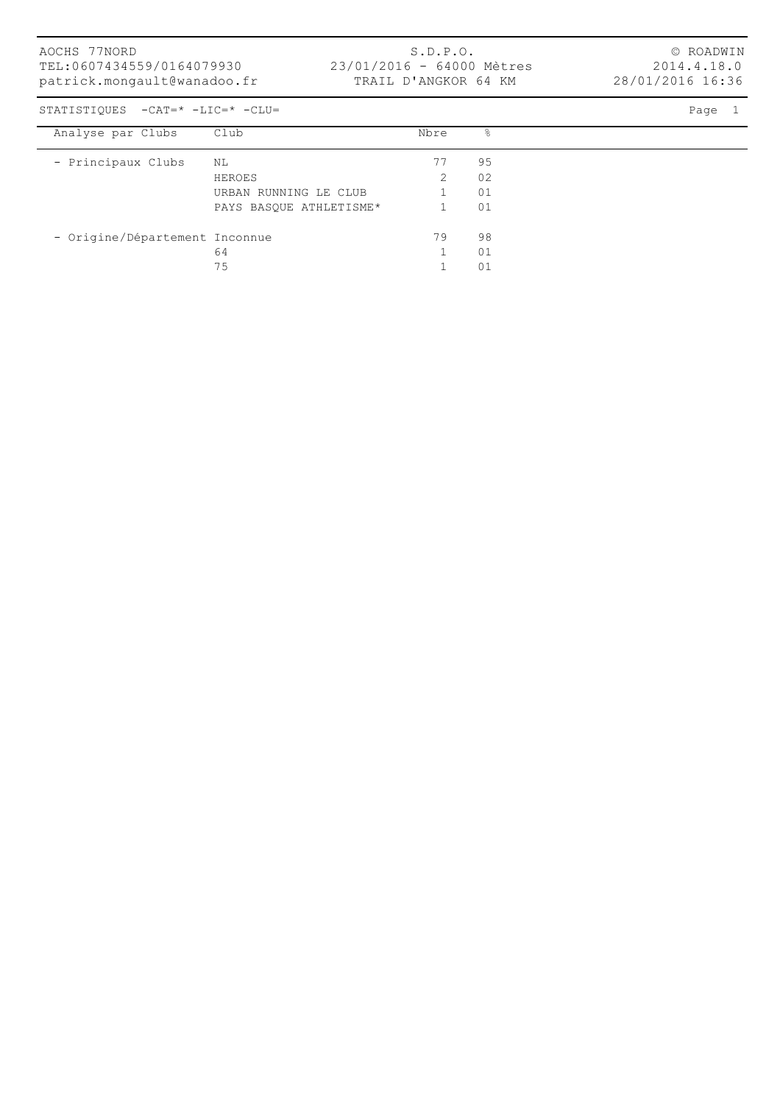S.D.P.O. 23/01/2016 - 64000 Mètres TRAIL D'ANGKOR 64 KM

© ROADWIN 2014.4.18.0 28/01/2016 16:36

STATISTIQUES -CAT=\* -LIC=\* -CLU= Page 1

| Analyse par Clubs              | Club                    | Nbre | &  |
|--------------------------------|-------------------------|------|----|
|                                |                         |      |    |
| - Principaux Clubs             | NL                      | 77   | 95 |
|                                |                         |      |    |
|                                | HEROES                  |      | 02 |
|                                | URBAN RUNNING LE CLUB   |      | 01 |
|                                | PAYS BASQUE ATHLETISME* |      | 01 |
|                                |                         |      |    |
| - Origine/Département Inconnue |                         | 79   | 98 |
|                                | 64                      |      | 01 |
|                                | 75                      |      | 01 |
|                                |                         |      |    |